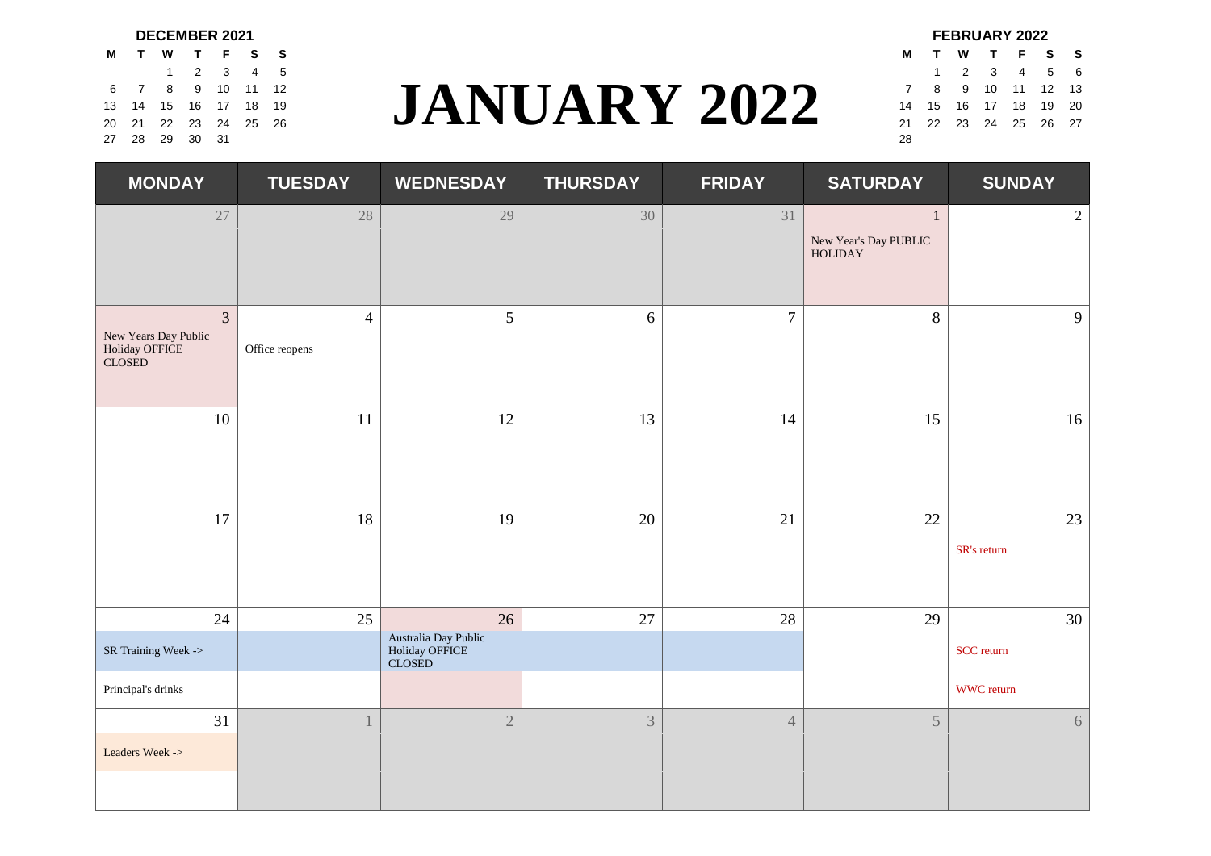|       |                      |    |       | <b>DECEMBER 2021</b> |  |                     |    |
|-------|----------------------|----|-------|----------------------|--|---------------------|----|
|       | M T W T F S S        |    |       |                      |  |                     | М  |
|       |                      |    |       | 1 2 3 4 5            |  |                     |    |
|       | 6 7 8 9 10 11 12     |    |       |                      |  |                     |    |
|       | 13 14 15 16 17 18 19 |    |       |                      |  | <b>JANUARY 2022</b> | 14 |
|       | 20 21 22 23 24 25 26 |    |       |                      |  |                     | 21 |
| 27 28 |                      | 29 | 30 31 |                      |  |                     | 28 |

# $\frac{1}{2}$   $\frac{2}{3}$   $\frac{3}{4}$   $\frac{4}{12}$   $\frac{5}{16}$   $\frac{6}{17}$   $\frac{1}{18}$   $\frac{1}{19}$  **JANUARY** 2022  $\frac{1}{2}$   $\frac{2}{14}$   $\frac{1}{15}$   $\frac{2}{16}$   $\frac{3}{17}$   $\frac{4}{18}$   $\frac{5}{19}$   $\frac{6}{10}$ <br> $\frac{1}{23}$   $\frac{2}{24}$   $\frac{3}{25}$  6 7 8 9 10 11 12 7 8 9 10 11 12 13 13 14 15 16 17 18 19 14 15 16 17 18 19 20 20 21 22 23 24 25 26 **27 28 1 29 24 25 26 27 28 29 29 29 29 29 29 29 29 20 21 22 23 24 25 26 27**

| <b>DECEMBER 2021</b><br>TWTFSS |             |                   |  |                     |    | <b>FEBRUARY 2022</b>       |             |  |  |
|--------------------------------|-------------|-------------------|--|---------------------|----|----------------------------|-------------|--|--|
|                                |             |                   |  |                     |    | M T W T F S S              |             |  |  |
|                                |             | 1 2 3 4 5         |  |                     |    |                            | 1 2 3 4 5 6 |  |  |
|                                |             | 7 8 9 10 11 12    |  |                     |    | 7 8 9 10 11 12 13          |             |  |  |
|                                |             | 4 15 16 17 18 19  |  | <b>JANUARY 2022</b> |    | 14  15  16  17  18  19  20 |             |  |  |
|                                |             | 21 22 23 24 25 26 |  |                     |    | 21  22  23  24  25  26  27 |             |  |  |
|                                | 28 29 30 31 |                   |  |                     | 28 |                            |             |  |  |

| <b>MONDAY</b>                                                      | <b>TUESDAY</b>                   | <b>WEDNESDAY</b>                                 | <b>THURSDAY</b> | <b>FRIDAY</b>  | <b>SATURDAY</b>                                         | <b>SUNDAY</b>     |
|--------------------------------------------------------------------|----------------------------------|--------------------------------------------------|-----------------|----------------|---------------------------------------------------------|-------------------|
| 27                                                                 | $28\,$                           | 29                                               | 30              | 31             | $\mathbf{1}$<br>New Year's Day PUBLIC<br><b>HOLIDAY</b> | $\overline{2}$    |
| $\overline{3}$<br>New Years Day Public<br>Holiday OFFICE<br>CLOSED | $\overline{4}$<br>Office reopens | 5                                                | 6               | $\overline{7}$ | 8                                                       | 9                 |
| 10                                                                 | $11\,$                           | 12                                               | 13              | 14             | 15                                                      | 16                |
| 17                                                                 | 18                               | 19                                               | 20              | 21             | 22                                                      | 23<br>SR's return |
| 24                                                                 | 25                               | 26                                               | 27              | 28             | 29                                                      | 30                |
| SR Training Week ->                                                |                                  | Australia Day Public<br>Holiday OFFICE<br>CLOSED |                 |                |                                                         | SCC return        |
| Principal's drinks                                                 |                                  |                                                  |                 |                |                                                         | WWC return        |
| 31<br>Leaders Week ->                                              |                                  | $\sqrt{2}$                                       | 3               | $\overline{4}$ | 5                                                       | 6                 |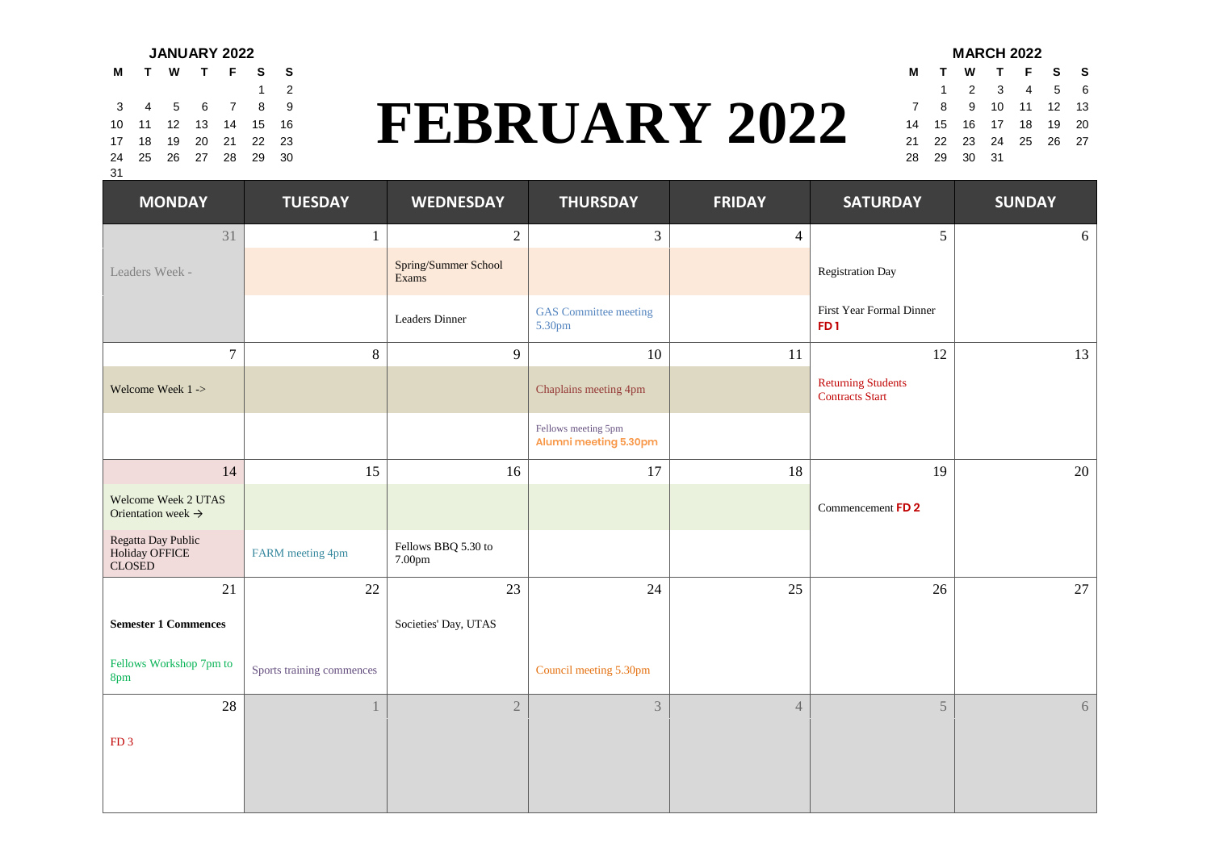| M          |  |  | TWTFSS                     |             |
|------------|--|--|----------------------------|-------------|
|            |  |  |                            | $1 \quad 2$ |
|            |  |  | 3 4 5 6 7 8                | 9           |
|            |  |  | 10 11 12 13 14 15 16       |             |
|            |  |  | 17  18  19  20  21  22  23 |             |
|            |  |  | 24  25  26  27  28  29  30 |             |
| $^{\circ}$ |  |  |                            |             |

#### $\begin{array}{lll} \text{FEBRUARY } 2022 & \frac{1}{2} & \frac{2}{3} & \frac{3}{4} & \frac{4}{5} & \frac{5}{6} \\ \text{FEBRUARY } 2022 & \frac{7}{21} & \frac{8}{22} & \frac{9}{23} & \frac{10}{21} & \frac{11}{12} & \frac{12}{13} & \frac{13}{15} \\ \text{FEBRUARY } 20 & \frac{1}{21} & \frac{2}{22} & \frac{23}{23} & \frac{24}{25} & \frac{25}{26} & \frac{27}{27} \end{array}$ 3 4 5 6 7 8 9 **11 12 13 14 15 16 17 8 9 10 11 12 13** 10 11 12 13 14 15 16 **17 18 19 20** 17 18 19 20 21 22 23 21 22 23 24 25 26 27 24 25 26 27 28 29 30 28 29 30 31

|  |                       | JANUARY 2022 |       |                      |             |  | <b>MARCH 2022</b>          |  |
|--|-----------------------|--------------|-------|----------------------|-------------|--|----------------------------|--|
|  |                       | <b>WTFSS</b> |       |                      |             |  | M T W T F S S              |  |
|  |                       |              |       |                      |             |  | 1 2 3 4 5 6                |  |
|  |                       | F 5 6 7 8 9  |       |                      |             |  | 7 8 9 10 11 12 13          |  |
|  |                       | 12 13 14     | 15 16 | <b>FEBRUARY 2022</b> |             |  | 14 15 16 17 18 19 20       |  |
|  | <sup>}</sup> 19 20 21 |              | 22 23 |                      |             |  | 21  22  23  24  25  26  27 |  |
|  |                       | 5 26 27 28   | 29 30 |                      | 28 29 30 31 |  |                            |  |

| <b>MONDAY</b>                                         | <b>TUESDAY</b>            | <b>WEDNESDAY</b>              | <b>THURSDAY</b>                              | <b>FRIDAY</b>  | <b>SATURDAY</b>                                     | <b>SUNDAY</b> |
|-------------------------------------------------------|---------------------------|-------------------------------|----------------------------------------------|----------------|-----------------------------------------------------|---------------|
| 31                                                    | $\mathbf{1}$              | $\sqrt{2}$                    | $\mathfrak{Z}$                               | $\overline{4}$ | 5                                                   | 6             |
| Leaders Week -                                        |                           | Spring/Summer School<br>Exams |                                              |                | Registration Day                                    |               |
|                                                       |                           | Leaders Dinner                | <b>GAS</b> Committee meeting<br>5.30pm       |                | First Year Formal Dinner<br>FD <sub>1</sub>         |               |
| $\overline{7}$                                        | $8\,$                     | 9                             | 10                                           | $11\,$         | 12                                                  | 13            |
| Welcome Week 1->                                      |                           |                               | Chaplains meeting 4pm                        |                | <b>Returning Students</b><br><b>Contracts</b> Start |               |
|                                                       |                           |                               | Fellows meeting 5pm<br>Alumni meeting 5.30pm |                |                                                     |               |
| 14                                                    | 15                        | 16                            | 17                                           | 18             | 19                                                  | $20\,$        |
| Welcome Week 2 UTAS<br>Orientation week $\rightarrow$ |                           |                               |                                              |                | Commencement FD 2                                   |               |
| Regatta Day Public<br>Holiday OFFICE<br>CLOSED        | FARM meeting 4pm          | Fellows BBQ 5.30 to<br>7.00pm |                                              |                |                                                     |               |
| 21                                                    | 22                        | 23                            | 24                                           | 25             | 26                                                  | 27            |
| <b>Semester 1 Commences</b>                           |                           | Societies' Day, UTAS          |                                              |                |                                                     |               |
| Fellows Workshop 7pm to<br>8pm                        | Sports training commences |                               | Council meeting 5.30pm                       |                |                                                     |               |
| 28                                                    |                           | $\mathbf{2}$                  | 3                                            | $\sqrt{4}$     | 5                                                   | 6             |
| FD <sub>3</sub>                                       |                           |                               |                                              |                |                                                     |               |

31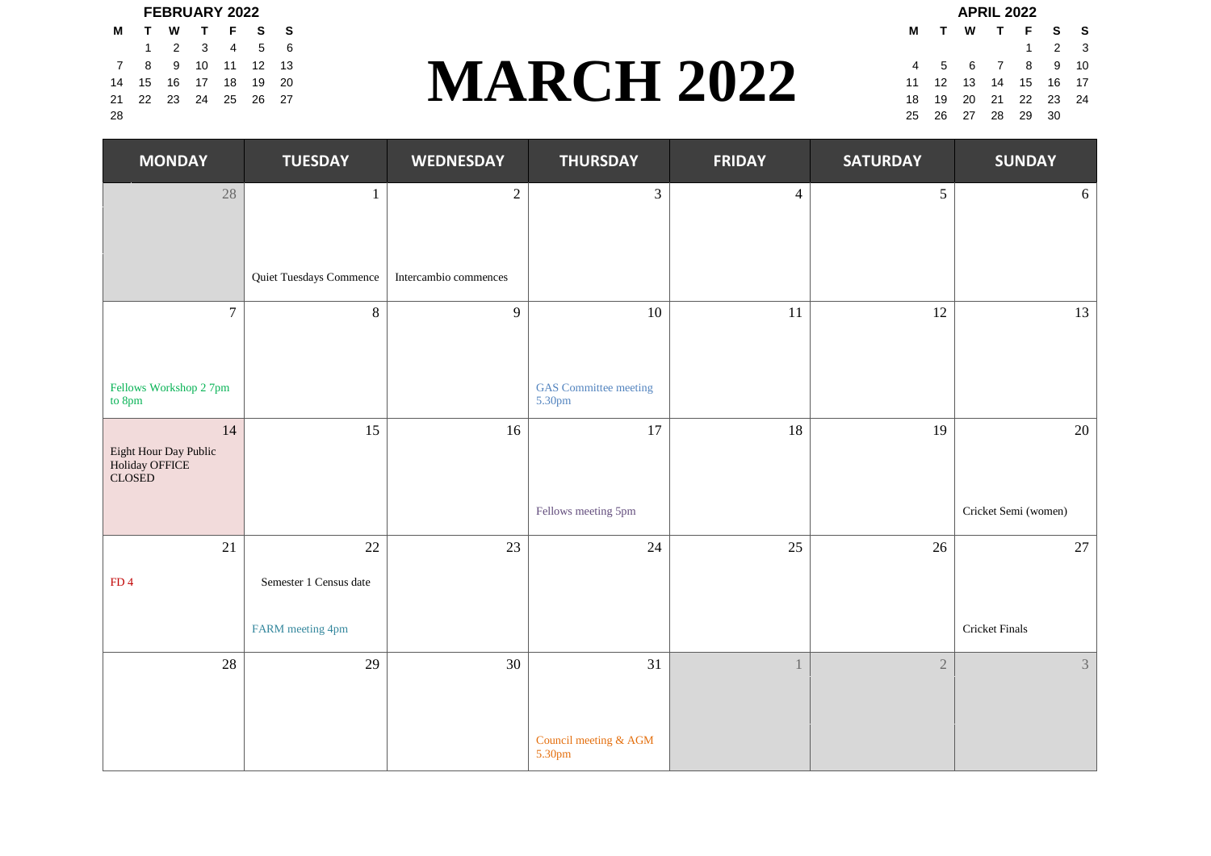|    |  | <b>FEBRUARY 2022</b>       |  |                   |                        |  | <b>APRIL 2022</b> |             |
|----|--|----------------------------|--|-------------------|------------------------|--|-------------------|-------------|
|    |  | M T W T F S S              |  |                   | M T W T F S            |  |                   |             |
|    |  | 1 2 3 4 5 6                |  |                   |                        |  |                   | $1 \quad 2$ |
|    |  | 7 8 9 10 11 12 13          |  |                   | 4 5 6 7 8 9            |  |                   |             |
|    |  | 14  15  16  17  18  19  20 |  | <b>MARCH 2022</b> | 11 12 13 14 15 16      |  |                   |             |
|    |  | 21  22  23  24  25  26  27 |  |                   | 18  19  20  21  22  23 |  |                   |             |
| 28 |  |                            |  |                   | 25  26  27  28  29  30 |  |                   |             |

# $\frac{7}{4}$   $\frac{8}{15}$   $\frac{9}{16}$   $\frac{10}{17}$   $\frac{11}{18}$   $\frac{12}{19}$   $\frac{13}{20}$ <br>1  $\frac{2022}{22}$   $\frac{4}{25}$   $\frac{5}{26}$   $\frac{6}{27}$   $\frac{7}{11}$   $\frac{8}{12}$   $\frac{9}{13}$   $\frac{10}{14}$   $\frac{15}{15}$   $\frac{6}{16}$   $\frac{7}{17}$ <br>11  $\frac{12}{13}$  $1 \quad 2 \quad 3 \quad 4 \quad 5 \quad 6$ 14 15 16 17 18 19 20 **IVI A REPORT / II** / / 11 12 13 14 15 16 17 21 22 23 24 25 26 27 18 19 20 21 22 23 24

| AF NIL ZUZZ |    |                            |  |                |  |                     |   |  |  |  |  |
|-------------|----|----------------------------|--|----------------|--|---------------------|---|--|--|--|--|
|             | м  |                            |  | TWTFS          |  |                     | s |  |  |  |  |
|             |    |                            |  |                |  | $1 \quad 2 \quad 3$ |   |  |  |  |  |
|             | 4  |                            |  | 5 6 7 8 9 10   |  |                     |   |  |  |  |  |
|             |    | 11  12  13  14  15  16  17 |  |                |  |                     |   |  |  |  |  |
|             |    | 18  19  20  21  22  23  24 |  |                |  |                     |   |  |  |  |  |
|             | 25 |                            |  | 26 27 28 29 30 |  |                     |   |  |  |  |  |

| <b>MONDAY</b>                                           | <b>TUESDAY</b>          | <b>WEDNESDAY</b>      | <b>THURSDAY</b>                        | <b>FRIDAY</b>  | <b>SATURDAY</b> | <b>SUNDAY</b>        |
|---------------------------------------------------------|-------------------------|-----------------------|----------------------------------------|----------------|-----------------|----------------------|
| $28\,$                                                  | $\mathbf{1}$            | $\sqrt{2}$            | $\mathfrak{Z}$                         | $\overline{4}$ | 5               | 6                    |
|                                                         |                         |                       |                                        |                |                 |                      |
|                                                         | Quiet Tuesdays Commence | Intercambio commences |                                        |                |                 |                      |
| $\tau$                                                  | $8\,$                   | 9                     | 10                                     | 11             | 12              | 13                   |
|                                                         |                         |                       |                                        |                |                 |                      |
| Fellows Workshop 2 7pm<br>to 8pm                        |                         |                       | <b>GAS</b> Committee meeting<br>5.30pm |                |                 |                      |
| 14<br>Eight Hour Day Public<br>Holiday OFFICE<br>CLOSED | 15                      | 16                    | $17\,$                                 | 18             | 19              | $20\,$               |
|                                                         |                         |                       | Fellows meeting 5pm                    |                |                 | Cricket Semi (women) |
| 21                                                      | 22                      | 23                    | 24                                     | 25             | 26              | $27\,$               |
| FD4                                                     | Semester 1 Census date  |                       |                                        |                |                 |                      |
|                                                         | FARM meeting 4pm        |                       |                                        |                |                 | Cricket Finals       |
| $28\,$                                                  | 29                      | 30                    | 31                                     | 1              | $\overline{2}$  | 3                    |
|                                                         |                         |                       |                                        |                |                 |                      |
|                                                         |                         |                       | Council meeting & AGM<br>5.30pm        |                |                 |                      |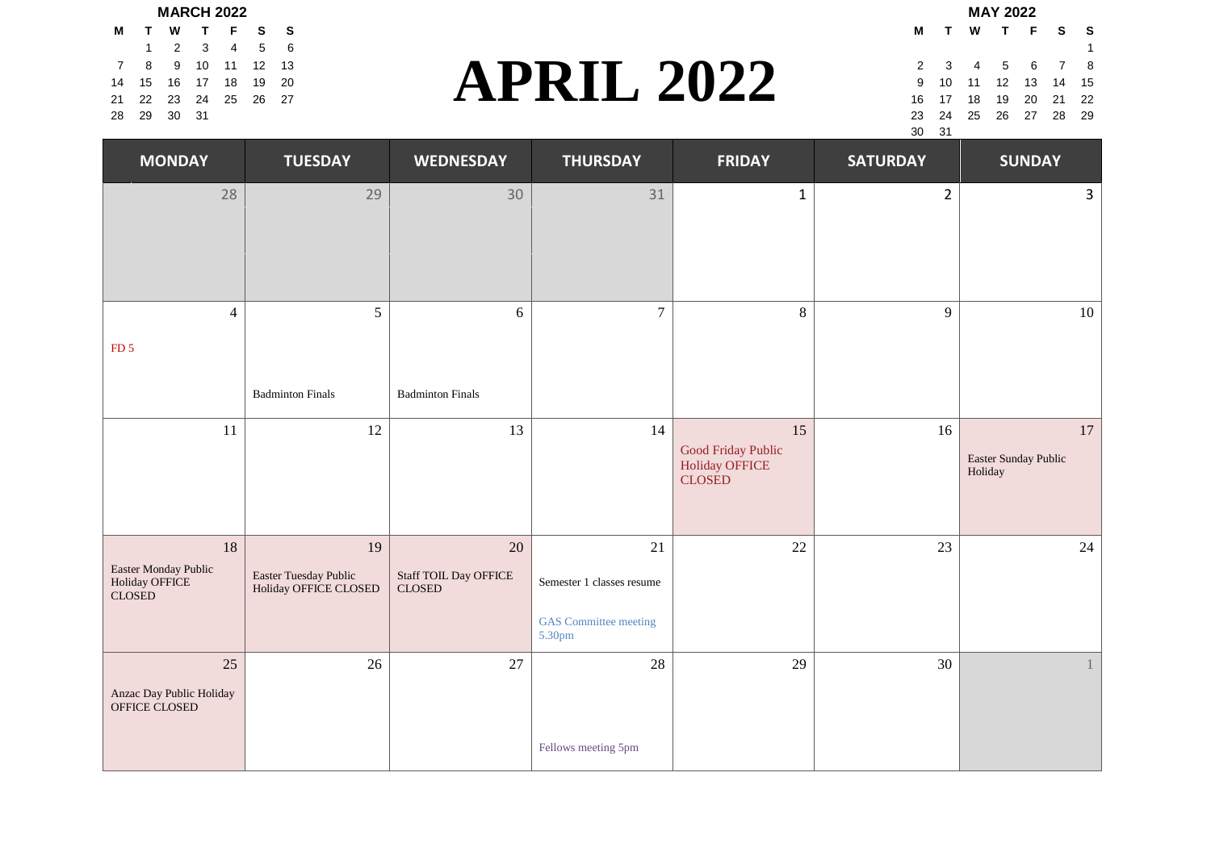|  | <b>MARCH 2022</b>          |  |  |                   |  |                    | <b>MAY 2022</b> |  |
|--|----------------------------|--|--|-------------------|--|--------------------|-----------------|--|
|  | MTWTFSS                    |  |  |                   |  | MTWTF              |                 |  |
|  | 1 2 3 4 5 6                |  |  |                   |  |                    |                 |  |
|  | 7 8 9 10 11 12 13          |  |  |                   |  | 2 3 4 5 6          |                 |  |
|  | 14  15  16  17  18  19  20 |  |  | <b>APRIL 2022</b> |  | 9 10 11 12 13      |                 |  |
|  | 21  22  23  24  25  26  27 |  |  |                   |  | 16  17  18  19  20 |                 |  |
|  | 28 29 30 31                |  |  |                   |  | 23 24 25 26 27     |                 |  |

# $\sum_{4}^{7}$   $\sum_{5}^{8}$   $\sum_{9}^{10}$   $\sum_{11}^{11}$   $\sum_{12}^{12}$   $\sum_{23}^{13}$   $\sum_{24}^{14}$   $\sum_{25}^{15}$   $\sum_{26}^{10}$   $\sum_{27}^{11}$   $\sum_{18}^{12}$   $\sum_{19}^{10}$   $\sum_{11}^{11}$   $\sum_{12}^{12}$   $\sum_{13}^{14}$   $\sum_{15}^{15}$   $\sum_{16}^{17}$   $\sum_{1$  $1 \quad 2 \quad 3 \quad 4 \quad 5 \quad 6$ 14 15 16 17 18 19 20 9 10 11 12 13 14 15 21 22 23 24 25 26 27 16 17 18 19 20 21 22

**M T W T F S S** 28 29 30 31 23 24 25 26 27 28 29 30 31

| <b>MONDAY</b>                                          | <b>TUESDAY</b>                                       | <b>WEDNESDAY</b>                             | <b>THURSDAY</b>                                                           | <b>FRIDAY</b>                                                      | <b>SATURDAY</b> | <b>SUNDAY</b>                         |
|--------------------------------------------------------|------------------------------------------------------|----------------------------------------------|---------------------------------------------------------------------------|--------------------------------------------------------------------|-----------------|---------------------------------------|
| 28                                                     | 29                                                   | 30                                           | 31                                                                        | $\mathbf 1$                                                        | $\overline{2}$  | $\mathbf{3}$                          |
| $\overline{4}$<br>FD <sub>5</sub>                      | 5                                                    | 6                                            | $\overline{7}$                                                            | $8\,$                                                              | 9               | 10                                    |
|                                                        | <b>Badminton Finals</b>                              | <b>Badminton Finals</b>                      |                                                                           |                                                                    |                 |                                       |
| 11                                                     | 12                                                   | 13                                           | 14                                                                        | 15<br>Good Friday Public<br><b>Holiday OFFICE</b><br><b>CLOSED</b> | 16              | 17<br>Easter Sunday Public<br>Holiday |
| 18<br>Easter Monday Public<br>Holiday OFFICE<br>CLOSED | 19<br>Easter Tuesday Public<br>Holiday OFFICE CLOSED | 20<br>Staff TOIL Day OFFICE<br><b>CLOSED</b> | 21<br>Semester 1 classes resume<br><b>GAS</b> Committee meeting<br>5.30pm | 22                                                                 | 23              | 24                                    |
| 25<br>Anzac Day Public Holiday<br>OFFICE CLOSED        | 26                                                   | $27\,$                                       | 28<br>Fellows meeting 5pm                                                 | 29                                                                 | 30              |                                       |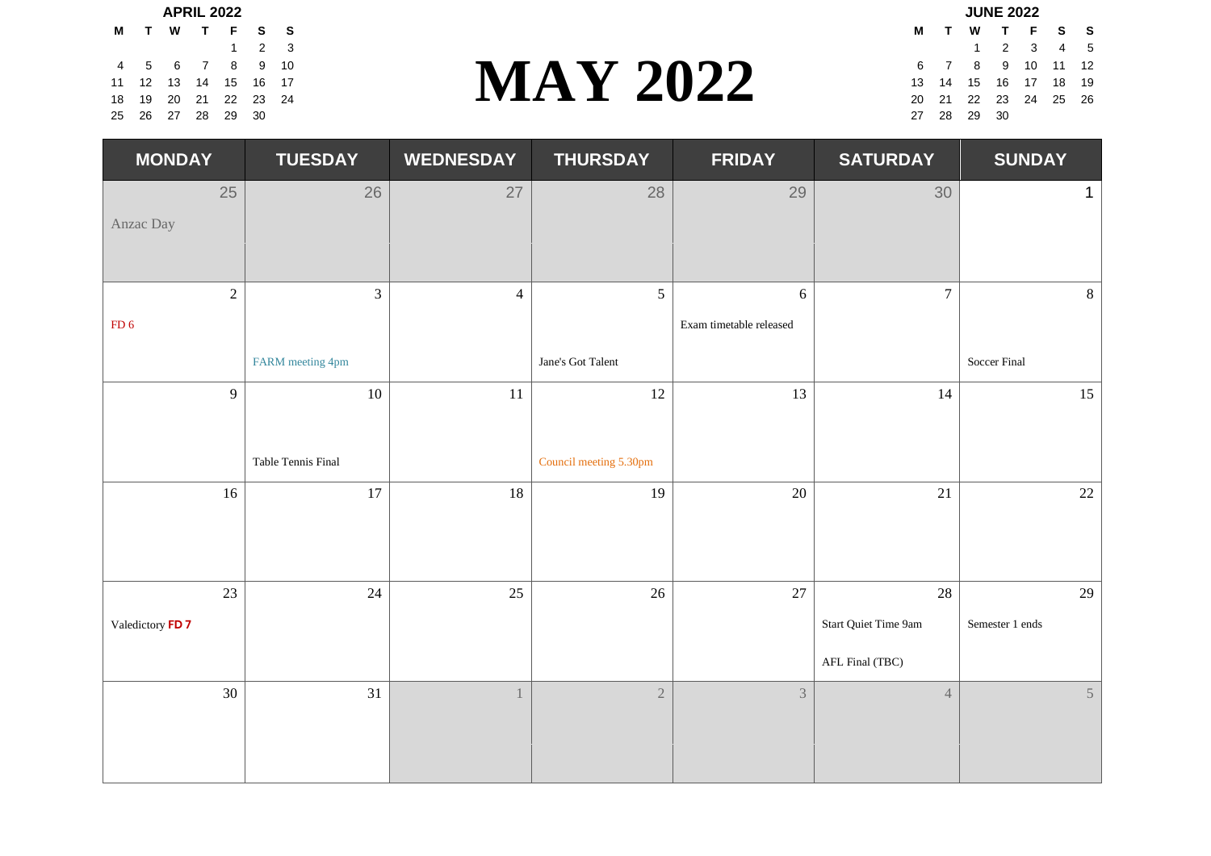|  |  | <b>APRIL 2022</b>          |  |                 |  |                | <b>JUNE 2022</b>   |  |
|--|--|----------------------------|--|-----------------|--|----------------|--------------------|--|
|  |  | M T W T F S S              |  |                 |  |                | M T W T F          |  |
|  |  | $1 \quad 2 \quad 3$        |  |                 |  |                | $1 \t2 \t3$        |  |
|  |  | 4 5 6 7 8 9 10             |  |                 |  |                | 6 7 8 9 10         |  |
|  |  | 11 12 13 14 15 16 17       |  | <b>MAY 2022</b> |  |                | 13  14  15  16  17 |  |
|  |  | 18  19  20  21  22  23  24 |  |                 |  |                | 20 21 22 23 24     |  |
|  |  | 25  26  27  28  29  30     |  |                 |  | 27  28  29  30 |                    |  |

# $\sum_{\begin{array}{c}8\ 9\ 10\ 2\ 23\ 24\ \end{array}}$ <br>
1 2 3 4 5<br>
1 2 3 4 5<br>
1 3 14 15 16 17 18 19<br>
2 23 24 25 26 4 5 6 7 8 9 10 6 7 8 9 10 11 12 11 12 13 14 15 16 17 13 14 15 16 17 18 19 18 19 20 21 22 23 24 25 26 **19 20 21 22 23 24 25 26 27 28 29 20 21 22** 23 24 25 26

| JUNE ZUZZ |                |                |                            |   |          |   |  |  |  |  |  |
|-----------|----------------|----------------|----------------------------|---|----------|---|--|--|--|--|--|
| м         | т              | W T F S        |                            | S |          |   |  |  |  |  |  |
|           |                |                | $1 \quad 2 \quad 3$        |   | 4        | 5 |  |  |  |  |  |
| 6         | $\overline{7}$ | 8 <sup>8</sup> | 9                          |   | 10 11 12 |   |  |  |  |  |  |
|           |                |                | 13  14  15  16  17  18  19 |   |          |   |  |  |  |  |  |
| 20        |                |                | 21 22 23 24 25 26          |   |          |   |  |  |  |  |  |
| 27        | -28            | 29             | - 30                       |   |          |   |  |  |  |  |  |
|           |                |                |                            |   |          |   |  |  |  |  |  |

| <b>MONDAY</b>                     | <b>TUESDAY</b>                     | <b>WEDNESDAY</b> | <b>THURSDAY</b>              | <b>FRIDAY</b>                         | <b>SATURDAY</b>                               | <b>SUNDAY</b>         |
|-----------------------------------|------------------------------------|------------------|------------------------------|---------------------------------------|-----------------------------------------------|-----------------------|
| 25<br>Anzac Day                   | 26                                 | 27               | 28                           | 29                                    | 30                                            | $\mathbf 1$           |
| $\sqrt{2}$<br>$FD_6$              | $\mathfrak{Z}$<br>FARM meeting 4pm | $\overline{4}$   | 5<br>Jane's Got Talent       | $\sqrt{6}$<br>Exam timetable released | $\overline{7}$                                | 8<br>Soccer Final     |
| 9                                 | $10\,$<br>Table Tennis Final       | 11               | 12<br>Council meeting 5.30pm | 13                                    | 14                                            | 15                    |
| 16                                | 17                                 | 18               | 19                           | 20                                    | $21\,$                                        | 22                    |
| 23<br>Valedictory FD <sub>7</sub> | 24                                 | 25               | 26                           | 27                                    | 28<br>Start Quiet Time 9am<br>AFL Final (TBC) | 29<br>Semester 1 ends |
| 30                                | 31                                 |                  | $\overline{2}$               | $\mathfrak{Z}$                        | $\overline{4}$                                | 5 <sup>5</sup>        |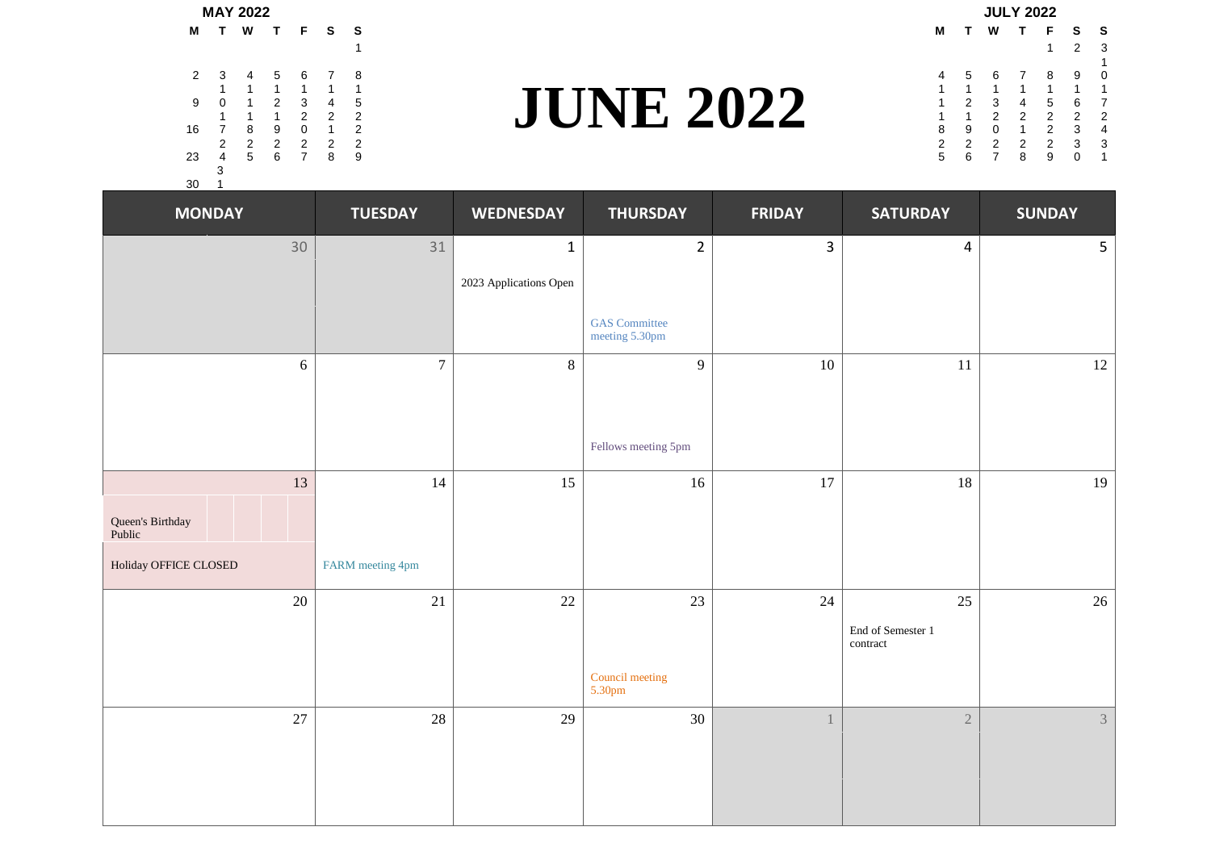|     |          | <b>MAY 2022</b> |   |                |                |    |                | <b>JULY 2022</b> |               |                |  |                |  |  |  |  |
|-----|----------|-----------------|---|----------------|----------------|----|----------------|------------------|---------------|----------------|--|----------------|--|--|--|--|
|     |          | M T W T F S S   |   |                |                |    |                |                  |               | M T W          |  | T F            |  |  |  |  |
|     |          |                 |   |                |                |    |                |                  |               |                |  |                |  |  |  |  |
|     |          | 2 3 4 5 6 7 8   |   |                |                |    |                | 4                |               | 56             |  | 7 8            |  |  |  |  |
|     |          |                 |   |                |                |    |                |                  |               |                |  |                |  |  |  |  |
| 9   | $\sim$ 0 | $\overline{1}$  |   | 2 3            | $\overline{4}$ |    |                |                  | $\mathcal{P}$ | $\mathbf{3}$   |  | 4 5            |  |  |  |  |
|     |          |                 |   | $\mathcal{P}$  | $\mathcal{P}$  |    | <b>NE 2022</b> |                  |               | $\mathcal{P}$  |  | 2 <sub>2</sub> |  |  |  |  |
|     | 16 7     | 8               | 9 | $\Omega$       |                |    |                | 8                | 9             | $\Omega$       |  | $1 \quad 2$    |  |  |  |  |
|     | 2        | $\overline{2}$  |   | 2 2 2          |                | -2 |                | 2                | 2             | $\overline{2}$ |  | 2 2            |  |  |  |  |
| -23 |          | 4 5             | 6 | $\overline{7}$ | 8              | 9  |                | 5                |               | 6 7            |  | 89             |  |  |  |  |
|     | З        |                 |   |                |                |    |                |                  |               |                |  |                |  |  |  |  |
| 30  |          |                 |   |                |                |    |                |                  |               |                |  |                |  |  |  |  |

# **JUNE 2022** 3 4 5 6 7 8 4 5 6 7 8 9

|                  |   |               |               | <b>JULY 2022</b> |               |              |                    |
|------------------|---|---------------|---------------|------------------|---------------|--------------|--------------------|
|                  | М |               | W             | $\mathbf{T}$     | F             | s s          |                    |
|                  |   |               |               |                  |               |              | - 3                |
|                  |   |               |               |                  |               |              |                    |
|                  | 4 | 5             | -6            |                  | - 8           | 9            | $\hspace{0.1in} 0$ |
|                  |   |               |               |                  |               |              | - 1                |
|                  |   |               | -3            | 4                | 5             | 67           |                    |
| <b>JUNE 2022</b> |   |               | $\mathcal{P}$ | $\mathcal{P}$    | $\mathcal{P}$ | 2 2          |                    |
|                  | 8 | -9            | $\Omega$      |                  | $\mathcal{P}$ | $\mathbf{3}$ | $\overline{4}$     |
|                  |   | $\mathcal{P}$ | $\mathcal{P}$ | $\mathcal{P}$    | $\mathcal{P}$ | 3 3          |                    |
|                  |   |               |               | 8                | 9             | $\mathbf{0}$ | -1                 |
|                  |   |               |               |                  |               |              |                    |

| <b>MONDAY</b>              | <b>TUESDAY</b>   | <b>WEDNESDAY</b>       | <b>THURSDAY</b>                        | <b>FRIDAY</b>  | <b>SATURDAY</b>               | <b>SUNDAY</b>  |
|----------------------------|------------------|------------------------|----------------------------------------|----------------|-------------------------------|----------------|
| 30                         | 31               | $\mathbf{1}$           | $\overline{2}$                         | $\overline{3}$ | $\overline{4}$                | 5 <sub>1</sub> |
|                            |                  | 2023 Applications Open |                                        |                |                               |                |
|                            |                  |                        | <b>GAS</b> Committee<br>meeting 5.30pm |                |                               |                |
| 6                          | $\overline{7}$   | $8\,$                  | 9                                      | 10             | 11                            | 12             |
|                            |                  |                        |                                        |                |                               |                |
|                            |                  |                        | Fellows meeting 5pm                    |                |                               |                |
| 13                         | 14               | 15                     | $16\,$                                 | 17             | 18                            | 19             |
| Queen's Birthday<br>Public |                  |                        |                                        |                |                               |                |
| Holiday OFFICE CLOSED      | FARM meeting 4pm |                        |                                        |                |                               |                |
| $20\,$                     | 21               | $22\,$                 | 23                                     | 24             | 25                            | 26             |
|                            |                  |                        |                                        |                | End of Semester 1<br>contract |                |
|                            |                  |                        | Council meeting<br>5.30pm              |                |                               |                |
| 27                         | 28               | 29                     | $30\,$                                 |                | $\overline{2}$                | $\mathfrak{Z}$ |
|                            |                  |                        |                                        |                |                               |                |
|                            |                  |                        |                                        |                |                               |                |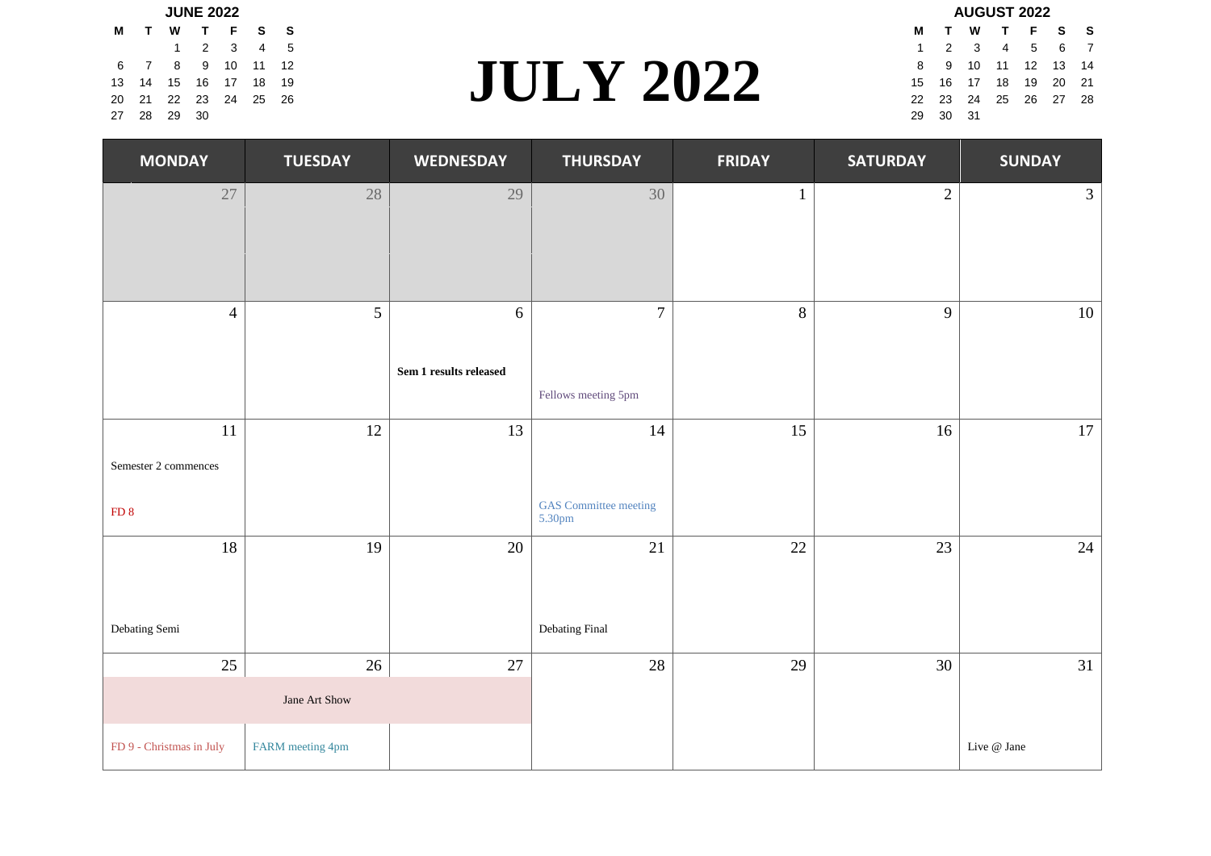|     |                | <b>JUNE 2022</b>     |  |                  |  | <b>AUGUST 2022</b> |                |  |           |
|-----|----------------|----------------------|--|------------------|--|--------------------|----------------|--|-----------|
| M T |                | W T F S S            |  |                  |  |                    |                |  | MTWTF     |
|     |                | 1 2 3 4 5            |  |                  |  |                    |                |  | 1 2 3 4 5 |
|     |                | 6 7 8 9 10 11 12     |  |                  |  |                    | 8 9 10 11 12   |  |           |
|     |                | 13 14 15 16 17 18 19 |  | <b>JULY 2022</b> |  |                    | 15 16 17 18 19 |  |           |
|     |                | 20 21 22 23 24 25 26 |  |                  |  |                    | 22 23 24 25 26 |  |           |
|     | 27  28  29  30 |                      |  |                  |  | 29 30 31           |                |  |           |

# $\begin{array}{|c|c|c|c|c|c|}\n\hline\n\text{1} & \text{2} & \text{3} & \text{4} & \text{5} & \text{6} & \text{7} \\
\text{8} & \text{9} & \text{10} & \text{11} & \text{12} & & & & \\
\text{5} & \text{16} & \text{17} & \text{18} & \text{19} & & & \\
\hline\n\text{2} & \text{23} & \text{24} & \text{25} & \text{26} & & & \\
\hline\n\text{3} & \text{24} & \text{25} & \text{26} & & & \\
\hline\n\$ 6 7 8 9 10 11 12 8 9 10 11 12 13 14 13 14 15 16 17 18 19 15 16 17 18 19 20 21 20 21 22 23 24 25 26 22 23 24 25 26 27 28

| AUUUJI ZUZZ |                      |  |                  |  |  |   |  |  |  |  |  |
|-------------|----------------------|--|------------------|--|--|---|--|--|--|--|--|
| м           | $\mathbf{T}$         |  | W T F S          |  |  | S |  |  |  |  |  |
| 1.          |                      |  | 2 3 4 5 6 7      |  |  |   |  |  |  |  |  |
| 8           |                      |  | 9 10 11 12 13 14 |  |  |   |  |  |  |  |  |
|             | 15 16 17 18 19 20 21 |  |                  |  |  |   |  |  |  |  |  |
|             | 22 23 24 25 26 27 28 |  |                  |  |  |   |  |  |  |  |  |
| 29          | 30 31                |  |                  |  |  |   |  |  |  |  |  |
|             |                      |  |                  |  |  |   |  |  |  |  |  |

| <b>MONDAY</b>            | <b>TUESDAY</b>   | <b>WEDNESDAY</b>       | <b>THURSDAY</b>                        | <b>FRIDAY</b> | <b>SATURDAY</b> | <b>SUNDAY</b>  |
|--------------------------|------------------|------------------------|----------------------------------------|---------------|-----------------|----------------|
| 27                       | $28\,$           | 29                     | 30                                     | $\mathbf{1}$  | $\sqrt{2}$      | 3 <sup>7</sup> |
|                          |                  |                        |                                        |               |                 |                |
|                          |                  |                        |                                        |               |                 |                |
| $\overline{4}$           | 5                | 6                      | $\overline{7}$                         | 8             | 9               | 10             |
|                          |                  | Sem 1 results released |                                        |               |                 |                |
|                          |                  |                        | Fellows meeting 5pm                    |               |                 |                |
| 11                       | 12               | 13                     | 14                                     | 15            | 16              | 17             |
| Semester 2 commences     |                  |                        |                                        |               |                 |                |
| FD <sub>8</sub>          |                  |                        | <b>GAS</b> Committee meeting<br>5.30pm |               |                 |                |
| 18                       | 19               | 20                     | 21                                     | 22            | 23              | 24             |
|                          |                  |                        |                                        |               |                 |                |
| Debating Semi            |                  |                        | Debating Final                         |               |                 |                |
| 25                       | $26\,$           | 27                     | 28                                     | 29            | 30              | 31             |
|                          | Jane Art Show    |                        |                                        |               |                 |                |
| FD 9 - Christmas in July | FARM meeting 4pm |                        |                                        |               |                 | Live @ Jane    |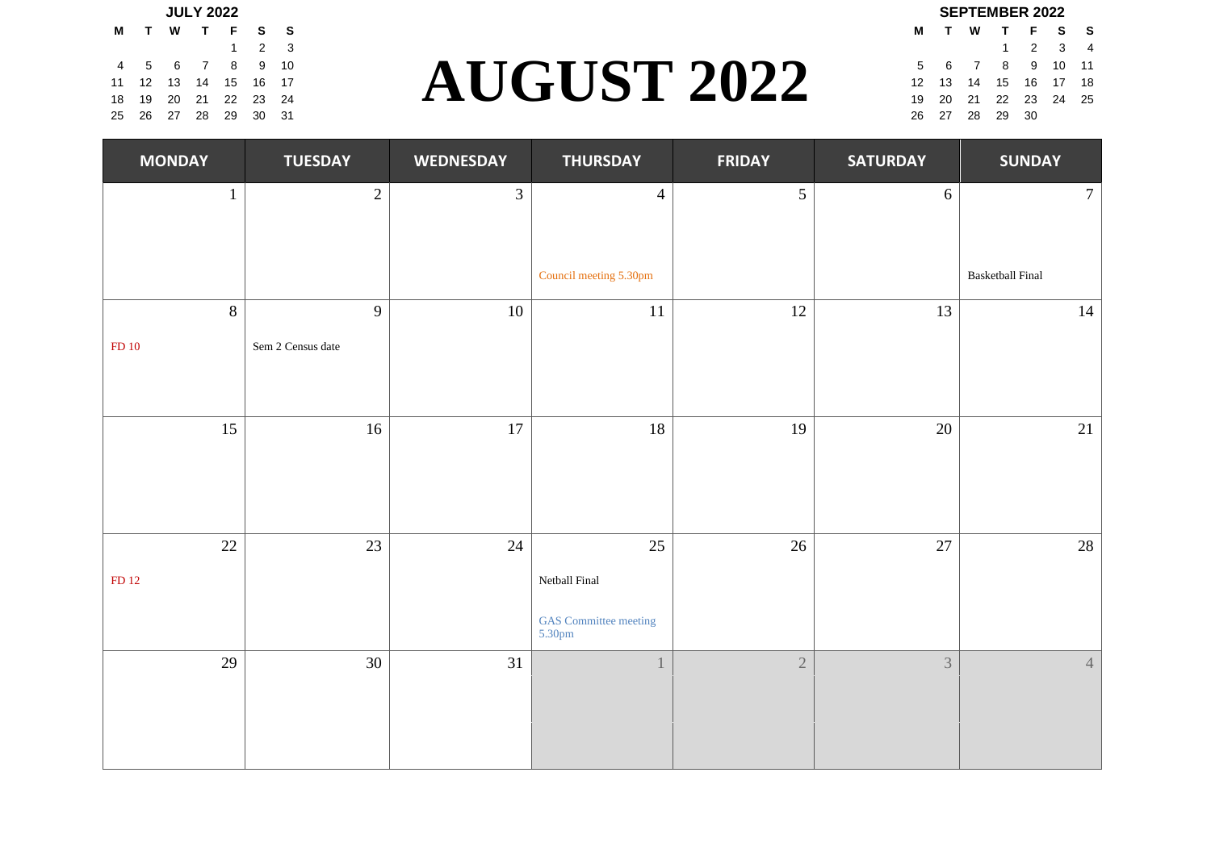|  |  | <b>JULY 2022</b>           |  |                    |  | <b>SEPTEMBER 2022</b> |                |                        |  |  |
|--|--|----------------------------|--|--------------------|--|-----------------------|----------------|------------------------|--|--|
|  |  | M T W T F S S              |  |                    |  |                       |                | <b>MTWTFS</b>          |  |  |
|  |  | $1 \quad 2 \quad 3$        |  |                    |  |                       |                | $1 \t2 \t3$            |  |  |
|  |  | 4 5 6 7 8 9 10             |  |                    |  |                       |                | 5 6 7 8 9 10           |  |  |
|  |  | 11  12  13  14  15  16  17 |  | <b>AUGUST 2022</b> |  |                       |                | 12  13  14  15  16  17 |  |  |
|  |  | 18  19  20  21  22  23  24 |  |                    |  |                       |                | 19 20 21 22 23 24      |  |  |
|  |  | 25  26  27  28  29  30  31 |  |                    |  |                       | 26 27 28 29 30 |                        |  |  |

# $\begin{array}{cccc} \text{1} & \text{2} & \text{3} & \text{4} \\ \text{5} & \text{4} & \text{5} & \text{10} & \text{11} \\ \text{2} & \text{23} & \text{24} & \text{24} & \text{25} \end{array} \qquad \qquad \begin{array}{cccc} \text{2022} & \text{5} & \text{6} & \text{7} & \text{8} & \text{9} & \text{10} & \text{11} \\ \text{12} & \text{13} & \text{14} & \text{15} & \text{16} & \text{17} & \text{18} \\ \text{1$ 4 5 6 7 8 9 10 5 6 7 8 9 10 11 11 12 13 14 15 16 17 **12 12 13 14 15 16 17 18** 18 19 20 21 22 23 24 **19 20 21 22 23 24 25 26 27 28 29 29 29 29 29 29 29 29 29 29 20 21 22 23 24 25**

|   | JEF I EINDER ZUZZ |                |  |                            |  |                |  |  |  |  |  |  |
|---|-------------------|----------------|--|----------------------------|--|----------------|--|--|--|--|--|--|
| M |                   |                |  | TWTFSS                     |  |                |  |  |  |  |  |  |
|   |                   |                |  | $1 \quad 2 \quad 3$        |  | $\overline{4}$ |  |  |  |  |  |  |
|   |                   |                |  | 5 6 7 8 9 10 11            |  |                |  |  |  |  |  |  |
|   |                   |                |  | 12  13  14  15  16  17  18 |  |                |  |  |  |  |  |  |
|   |                   |                |  | 19 20 21 22 23 24 25       |  |                |  |  |  |  |  |  |
|   |                   | 26 27 28 29 30 |  |                            |  |                |  |  |  |  |  |  |

| <b>MONDAY</b>  | <b>TUESDAY</b>    | <b>WEDNESDAY</b> | <b>THURSDAY</b>                                         | <b>FRIDAY</b>  | <b>SATURDAY</b> | <b>SUNDAY</b>           |
|----------------|-------------------|------------------|---------------------------------------------------------|----------------|-----------------|-------------------------|
| $\mathbf{1}$   | $\overline{2}$    | $\mathfrak{Z}$   | $\overline{4}$                                          | $\mathfrak{S}$ | $6\phantom{.}6$ | $7\overline{ }$         |
|                |                   |                  | Council meeting 5.30pm                                  |                |                 | <b>Basketball Final</b> |
| $8\phantom{.}$ | 9                 | $10\,$           | 11                                                      | 12             | 13              | 14                      |
| ${\rm FD}$ 10  | Sem 2 Census date |                  |                                                         |                |                 |                         |
| 15             | $16\,$            | $17\,$           | 18                                                      | 19             | $20\,$          | 21                      |
| 22             | 23                | 24               | 25                                                      | 26             | 27              | 28                      |
| FD 12          |                   |                  | Netball Final<br><b>GAS</b> Committee meeting<br>5.30pm |                |                 |                         |
| 29             | 30                | 31               |                                                         | $\sqrt{2}$     | $\overline{3}$  | $4 -$                   |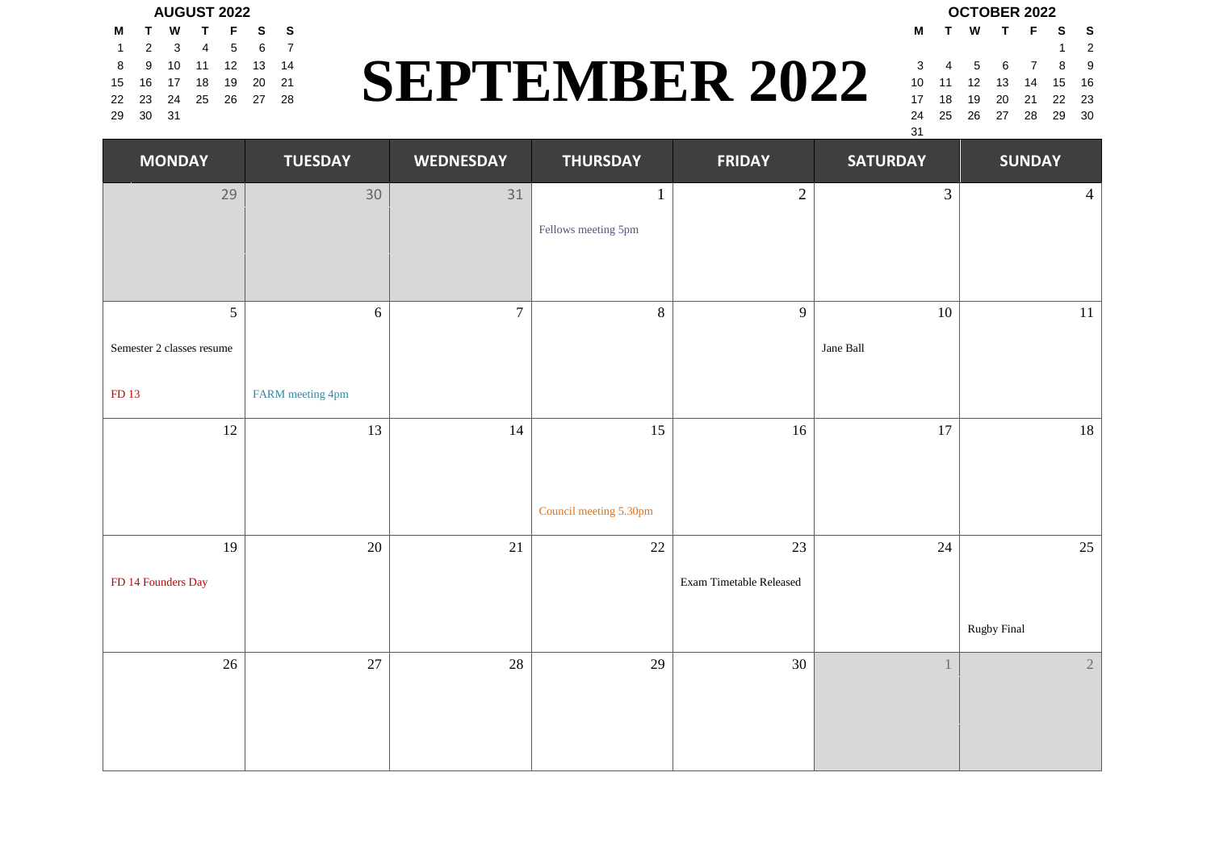### **AUGUST 2022 OCTOBER 2022**

|   | MTWTFSS              |      |                  |     |
|---|----------------------|------|------------------|-----|
|   | 1 2 3 4 5            |      |                  | 6 7 |
| 8 |                      |      | 9 10 11 12 13 14 |     |
|   | 15 16 17 18 19 20 21 |      |                  |     |
|   | 22 23 24 25 26 27 28 |      |                  |     |
|   | 29 30                | - 31 |                  |     |

#### 8 9 10 11 12 13 14<br> **SEPTEMBER 2022** 3 4 5 6 7 8 9<br>
2 23 24 25 26 27 28<br>
2 23 24 25 26 27 28  $1 \quad 2 \quad 3 \quad 4 \quad 5 \quad 6 \quad 7$ 15 16 17 18 19 20 21 **10 17 18 19 18 19 18 19 18 19 10 11 12 13 14 15 16** 22 23 24 25 26 27 28 17 18 19 20 21 22 23 29 30 31 24 25 26 27 28 29 30

**M T W T F S S** 31

| <b>MONDAY</b>             | <b>TUESDAY</b>   | <b>WEDNESDAY</b> | <b>THURSDAY</b>        | <b>FRIDAY</b>           | <b>SATURDAY</b> | <b>SUNDAY</b>  |
|---------------------------|------------------|------------------|------------------------|-------------------------|-----------------|----------------|
| 29                        | 30               | 31               | 1                      | $\sqrt{2}$              | 3               | $\overline{4}$ |
|                           |                  |                  | Fellows meeting 5pm    |                         |                 |                |
|                           |                  |                  |                        |                         |                 |                |
| $\mathfrak{S}$            | $\sqrt{6}$       | $\overline{7}$   | $\,8\,$                | 9                       | $10\,$          | $11\,$         |
| Semester 2 classes resume |                  |                  |                        |                         | Jane Ball       |                |
| FD 13                     | FARM meeting 4pm |                  |                        |                         |                 |                |
| 12                        | 13               | 14               | 15                     | 16                      | $17\,$          | $18\,$         |
|                           |                  |                  |                        |                         |                 |                |
|                           |                  |                  | Council meeting 5.30pm |                         |                 |                |
| 19                        | $20\,$           | 21               | $22\,$                 | 23                      | 24              | 25             |
| FD 14 Founders Day        |                  |                  |                        | Exam Timetable Released |                 |                |
|                           |                  |                  |                        |                         |                 | Rugby Final    |
| $26\,$                    | 27               | $28\,$           | 29                     | 30                      | $\mathbf{1}$    | $\sqrt{2}$     |
|                           |                  |                  |                        |                         |                 |                |
|                           |                  |                  |                        |                         |                 |                |
|                           |                  |                  |                        |                         |                 |                |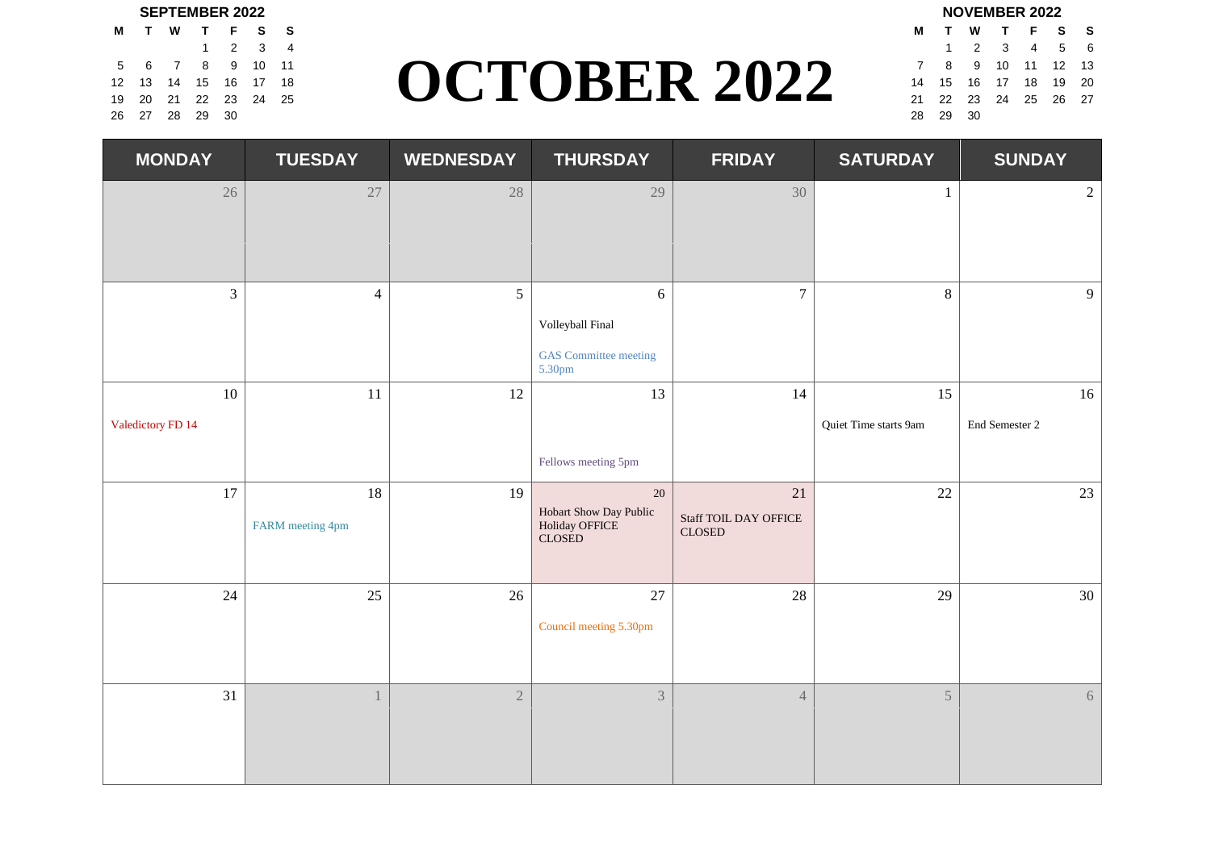|                            |  | <b>SEPTEMBER 2022</b> |  |                     |                        | <b>NOVEMBER 2022</b>                                       |  |  |
|----------------------------|--|-----------------------|--|---------------------|------------------------|------------------------------------------------------------|--|--|
| M T W T F S S              |  |                       |  |                     | MTWTFS                 |                                                            |  |  |
|                            |  | 1 2 3 4               |  |                     |                        | $\begin{array}{ccccccccc}\n1 & 2 & 3 & 4 & 9\n\end{array}$ |  |  |
| 5 6 7 8 9 10 11            |  |                       |  |                     | 7 8 9 10 11 12         |                                                            |  |  |
| 12  13  14  15  16  17  18 |  |                       |  | <b>OCTOBER 2022</b> | 14  15  16  17  18  19 |                                                            |  |  |
| 19 20 21 22 23 24 25       |  |                       |  |                     | 21  22  23  24  25  26 |                                                            |  |  |
| 26 27 28 29 30             |  |                       |  |                     | 28 29 30               |                                                            |  |  |

#### $\frac{1}{2}$   $\frac{2}{3}$   $\frac{3}{4}$ <br>  $\frac{4}{5}$   $\frac{5}{16}$   $\frac{6}{17}$   $\frac{1}{18}$ <br>  $\frac{2}{2}$   $\frac{2}{23}$   $\frac{24}{24}$   $\frac{25}{25}$ <br>  $\frac{26}{21}$   $\frac{27}{21}$   $\frac{28}{21}$   $\frac{3}{21}$   $\frac{4}{25}$   $\frac{5}{26}$   $\frac{6}{27}$ <br>  $\frac{1}{21}$   $\frac{2}{23$  $5 \t6 \t7 \t8 \t9 \t10 \t11$   $\bigcap_{12 \t13} \bigcap_{13} \bigcap_{14} \bigcap_{15} \bigcap_{15} \bigcap_{16} \bigcap_{17} \bigcap_{18} \bigcap_{19} \bigcap_{11} \bigcap_{12} \bigcap_{13}$ 12 13 14 15 16 17 18 **19 20 19 19 19 19 19 19 10 11 12 14 15 16 17 18 19 20** 19 20 21 22 23 24 25 26 27 **19 20 21 22 23 24 25 26 27** 26 27 28 29 30 28 29 30

|   |          |                            | INUVEIVIDEN ZUZZ |  |
|---|----------|----------------------------|------------------|--|
| м |          | TWTFSS                     |                  |  |
|   |          | 1 2 3 4 5 6                |                  |  |
| 7 |          | 8 9 10 11 12 13            |                  |  |
|   |          | 14  15  16  17  18  19  20 |                  |  |
|   |          | 21  22  23  24  25  26  27 |                  |  |
|   | 28 29 30 |                            |                  |  |
|   |          |                            |                  |  |

| <b>MONDAY</b>           | <b>TUESDAY</b>         | <b>WEDNESDAY</b> | <b>THURSDAY</b>                                                       | <b>FRIDAY</b>                                                 | <b>SATURDAY</b>             | <b>SUNDAY</b>        |
|-------------------------|------------------------|------------------|-----------------------------------------------------------------------|---------------------------------------------------------------|-----------------------------|----------------------|
| 26                      | $27\,$                 | 28               | 29                                                                    | 30                                                            | $\mathbf{1}$                | $\overline{2}$       |
| 3                       | $\overline{4}$         | 5                | $\overline{6}$<br>Volleyball Final<br>GAS Committee meeting<br>5.30pm | $\overline{7}$                                                | $8\,$                       | 9                    |
| 10<br>Valedictory FD 14 | 11                     | 12               | 13<br>Fellows meeting 5pm                                             | 14                                                            | 15<br>Quiet Time starts 9am | 16<br>End Semester 2 |
| 17                      | 18<br>FARM meeting 4pm | 19               | $20\,$<br>Hobart Show Day Public<br>Holiday OFFICE<br>CLOSED          | 21<br>Staff TOIL DAY OFFICE<br>$\ensuremath{\mathsf{CLOSED}}$ | $22\,$                      | 23                   |
| 24                      | 25                     | 26               | 27<br>Council meeting 5.30pm                                          | $28\,$                                                        | 29                          | 30                   |
| 31                      |                        | $\overline{2}$   | $\overline{3}$                                                        | $\sqrt{4}$                                                    | 5                           | 6                    |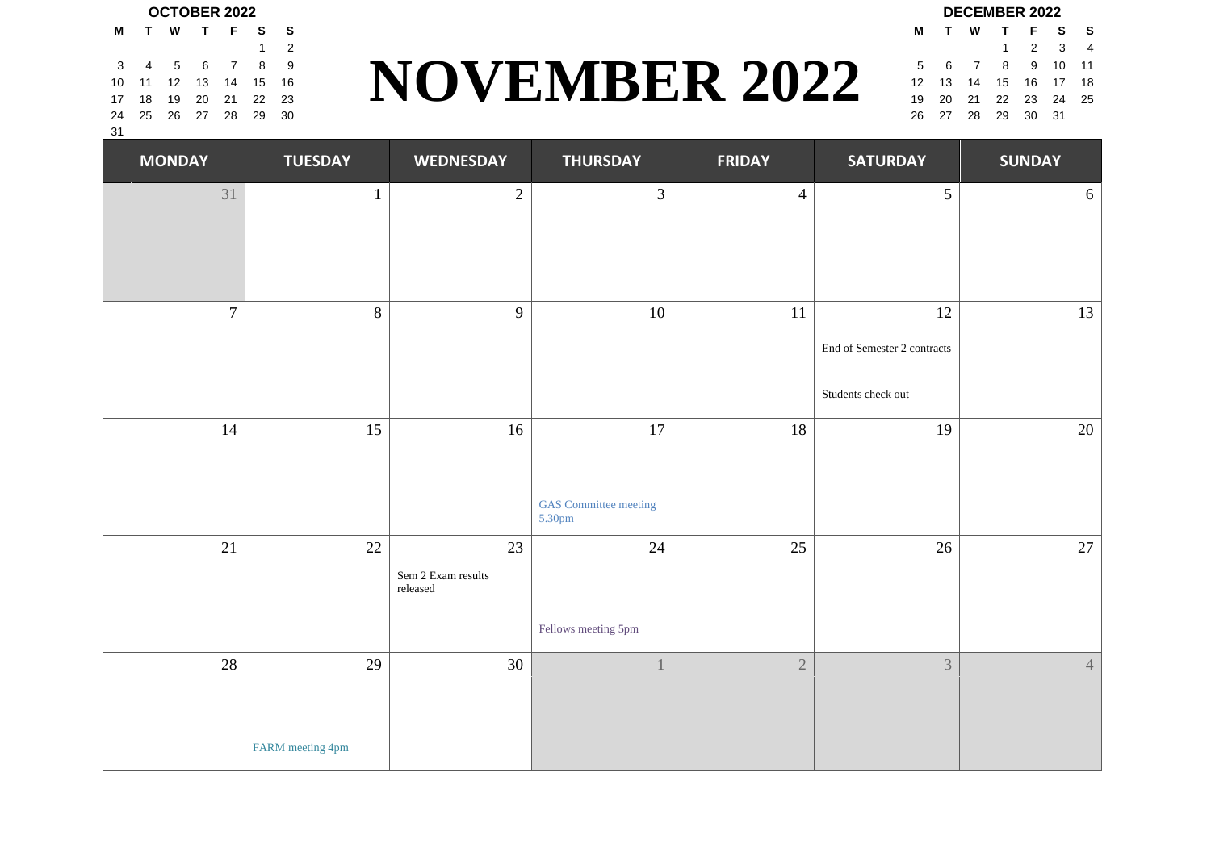## **OCTOBER 2022 DECEMBER 2022**

| м               | TWTFS                  |       | s |
|-----------------|------------------------|-------|---|
|                 |                        | 1 2 3 | 4 |
| 5               | 6 7 8 9 10 11          |       |   |
| 12 <sup>7</sup> | 13  14  15  16  17  18 |       |   |
|                 | 19 20 21 22 23 24 25   |       |   |
| 26              | 27  28  29  30  31     |       |   |

#### **NOVEMBER 2022** 1 2 1 2 3 4 3 4 5 6 7 8 9 **11 12 12 12 12 13 14 15 16 17 17 18 17 18 17 18 17 18 17 18 17 18 17 18 17 18 18 18 18 18 18 18** 10 11 12 13 14 15 16 17 18 **19 17 17 18 17 18 17 18 17 18 17 18 17 18 17 18 17 18 17 18 17 18 17 18 17 18 17 18** 17 18 19 20 21 22 23 **19 20 19 19 20 19 19 20 21 22 23 24 25** 24 25 26 27 28 29 30 26 27 28 29 30 31

|                 |    |  | UUTUBER 2022           |   |   |
|-----------------|----|--|------------------------|---|---|
| м               | Τ. |  | W T F                  | s | s |
|                 |    |  |                        | 1 | 2 |
| 3               |    |  | 4 5 6 7                | 8 | 9 |
| 10              |    |  | 11 12 13 14 15 16      |   |   |
| 17 <sup>2</sup> |    |  | 18  19  20  21  22  23 |   |   |
| 24              |    |  | 25 26 27 28 29 30      |   |   |
| -31             |    |  |                        |   |   |

| <b>MONDAY</b>  | <b>TUESDAY</b>   | <b>WEDNESDAY</b>               | <b>THURSDAY</b>                        | <b>FRIDAY</b>  | <b>SATURDAY</b>             | <b>SUNDAY</b> |
|----------------|------------------|--------------------------------|----------------------------------------|----------------|-----------------------------|---------------|
| 31             | $\mathbf{1}$     | $\overline{2}$                 | $\overline{3}$                         | $\overline{4}$ | 5                           | 6             |
|                |                  |                                |                                        |                |                             |               |
|                |                  |                                |                                        |                |                             |               |
| $\overline{7}$ | 8                | 9                              | 10                                     | $11\,$         | 12                          | 13            |
|                |                  |                                |                                        |                | End of Semester 2 contracts |               |
|                |                  |                                |                                        |                | Students check out          |               |
| 14             | 15               | 16                             | 17                                     | 18             | 19                          | $20\,$        |
|                |                  |                                |                                        |                |                             |               |
|                |                  |                                | <b>GAS</b> Committee meeting<br>5.30pm |                |                             |               |
| 21             | 22               | 23                             | 24                                     | 25             | 26                          | 27            |
|                |                  | Sem 2 Exam results<br>released |                                        |                |                             |               |
|                |                  |                                | Fellows meeting 5pm                    |                |                             |               |
| 28             | 29               | 30                             |                                        | $\overline{2}$ | 3                           | $4 -$         |
|                |                  |                                |                                        |                |                             |               |
|                | FARM meeting 4pm |                                |                                        |                |                             |               |